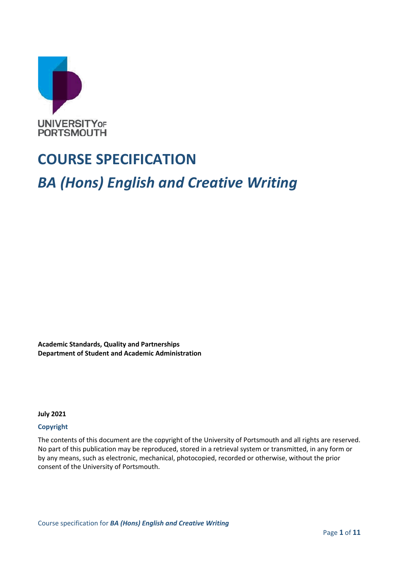

# **COURSE SPECIFICATION**

# *BA (Hons) English and Creative Writing*

**Academic Standards, Quality and Partnerships Department of Student and Academic Administration**

**July 2021**

#### **Copyright**

The contents of this document are the copyright of the University of Portsmouth and all rights are reserved. No part of this publication may be reproduced, stored in a retrieval system or transmitted, in any form or by any means, such as electronic, mechanical, photocopied, recorded or otherwise, without the prior consent of the University of Portsmouth.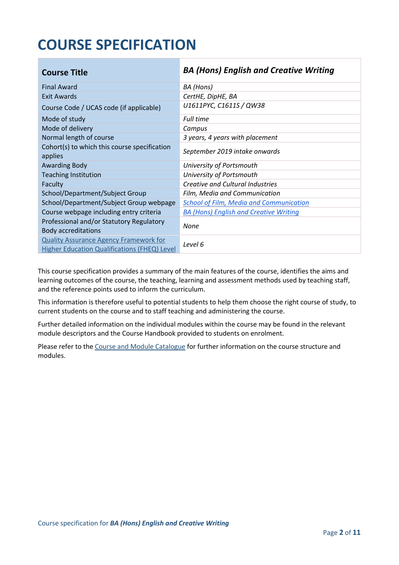# **COURSE SPECIFICATION**

| <b>Course Title</b>                                                                                  | <b>BA (Hons) English and Creative Writing</b>  |
|------------------------------------------------------------------------------------------------------|------------------------------------------------|
| <b>Final Award</b>                                                                                   | BA (Hons)                                      |
| <b>Exit Awards</b>                                                                                   | CertHE, DipHE, BA                              |
| Course Code / UCAS code (if applicable)                                                              | U1611PYC, C1611S / QW38                        |
| Mode of study                                                                                        | <b>Full time</b>                               |
| Mode of delivery                                                                                     | Campus                                         |
| Normal length of course                                                                              | 3 years, 4 years with placement                |
| Cohort(s) to which this course specification<br>applies                                              | September 2019 intake onwards                  |
| <b>Awarding Body</b>                                                                                 | University of Portsmouth                       |
| <b>Teaching Institution</b>                                                                          | University of Portsmouth                       |
| Faculty                                                                                              | <b>Creative and Cultural Industries</b>        |
| School/Department/Subject Group                                                                      | Film, Media and Communication                  |
| School/Department/Subject Group webpage                                                              | <b>School of Film, Media and Communication</b> |
| Course webpage including entry criteria                                                              | <b>BA (Hons) English and Creative Writing</b>  |
| Professional and/or Statutory Regulatory<br><b>Body accreditations</b>                               | None                                           |
| <b>Quality Assurance Agency Framework for</b><br><b>Higher Education Qualifications (FHEQ) Level</b> | Level 6                                        |

This course specification provides a summary of the main features of the course, identifies the aims and learning outcomes of the course, the teaching, learning and assessment methods used by teaching staff, and the reference points used to inform the curriculum.

This information is therefore useful to potential students to help them choose the right course of study, to current students on the course and to staff teaching and administering the course.

Further detailed information on the individual modules within the course may be found in the relevant module descriptors and the Course Handbook provided to students on enrolment.

Please refer to the Course [and Module Catalogue](https://course-module-catalog.port.ac.uk/#/welcome) for further information on the course structure and modules.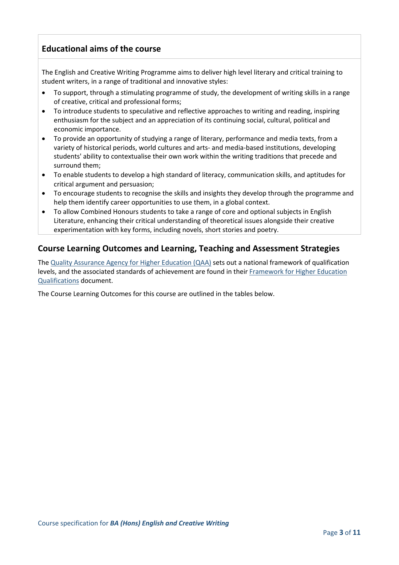### **Educational aims of the course**

The English and Creative Writing Programme aims to deliver high level literary and critical training to student writers, in a range of traditional and innovative styles:

- To support, through a stimulating programme of study, the development of writing skills in a range of creative, critical and professional forms;
- To introduce students to speculative and reflective approaches to writing and reading, inspiring enthusiasm for the subject and an appreciation of its continuing social, cultural, political and economic importance.
- To provide an opportunity of studying a range of literary, performance and media texts, from a variety of historical periods, world cultures and arts- and media-based institutions, developing students' ability to contextualise their own work within the writing traditions that precede and surround them;
- To enable students to develop a high standard of literacy, communication skills, and aptitudes for critical argument and persuasion;
- To encourage students to recognise the skills and insights they develop through the programme and help them identify career opportunities to use them, in a global context.
- To allow Combined Honours students to take a range of core and optional subjects in English Literature, enhancing their critical understanding of theoretical issues alongside their creative experimentation with key forms, including novels, short stories and poetry.

#### **Course Learning Outcomes and Learning, Teaching and Assessment Strategies**

The [Quality Assurance Agency for Higher Education \(QAA\)](http://www.qaa.ac.uk/en) sets out a national framework of qualification levels, and the associated standards of achievement are found in their Framework for Higher Education [Qualifications](https://www.qaa.ac.uk/quality-code/qualifications-frameworks) document.

The Course Learning Outcomes for this course are outlined in the tables below.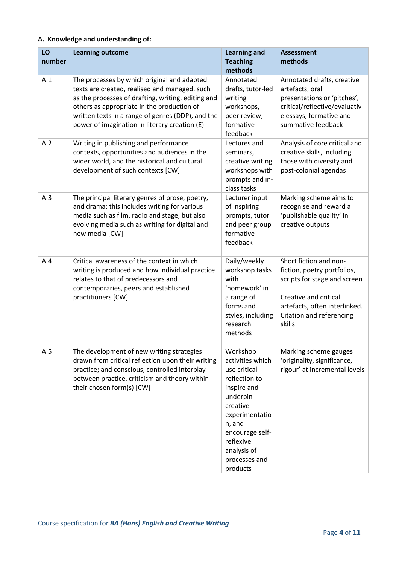#### **A. Knowledge and understanding of:**

| LO<br>number | <b>Learning outcome</b>                                                                                                                                                                                                                                                                                | <b>Learning and</b><br><b>Teaching</b><br>methods                                                                                                                                                            | <b>Assessment</b><br>methods                                                                                                                                                          |
|--------------|--------------------------------------------------------------------------------------------------------------------------------------------------------------------------------------------------------------------------------------------------------------------------------------------------------|--------------------------------------------------------------------------------------------------------------------------------------------------------------------------------------------------------------|---------------------------------------------------------------------------------------------------------------------------------------------------------------------------------------|
| A.1          | The processes by which original and adapted<br>texts are created, realised and managed, such<br>as the processes of drafting, writing, editing and<br>others as appropriate in the production of<br>written texts in a range of genres (DDP), and the<br>power of imagination in literary creation (E) | Annotated<br>drafts, tutor-led<br>writing<br>workshops,<br>peer review,<br>formative<br>feedback                                                                                                             | Annotated drafts, creative<br>artefacts, oral<br>presentations or 'pitches',<br>critical/reflective/evaluativ<br>e essays, formative and<br>summative feedback                        |
| A.2          | Writing in publishing and performance<br>contexts, opportunities and audiences in the<br>wider world, and the historical and cultural<br>development of such contexts [CW]                                                                                                                             | Lectures and<br>seminars,<br>creative writing<br>workshops with<br>prompts and in-<br>class tasks                                                                                                            | Analysis of core critical and<br>creative skills, including<br>those with diversity and<br>post-colonial agendas                                                                      |
| A.3          | The principal literary genres of prose, poetry,<br>and drama; this includes writing for various<br>media such as film, radio and stage, but also<br>evolving media such as writing for digital and<br>new media [CW]                                                                                   | Lecturer input<br>of inspiring<br>prompts, tutor<br>and peer group<br>formative<br>feedback                                                                                                                  | Marking scheme aims to<br>recognise and reward a<br>'publishable quality' in<br>creative outputs                                                                                      |
| A.4          | Critical awareness of the context in which<br>writing is produced and how individual practice<br>relates to that of predecessors and<br>contemporaries, peers and established<br>practitioners [CW]                                                                                                    | Daily/weekly<br>workshop tasks<br>with<br>'homework' in<br>a range of<br>forms and<br>styles, including<br>research<br>methods                                                                               | Short fiction and non-<br>fiction, poetry portfolios,<br>scripts for stage and screen<br>Creative and critical<br>artefacts, often interlinked.<br>Citation and referencing<br>skills |
| A.5          | The development of new writing strategies<br>drawn from critical reflection upon their writing<br>practice; and conscious, controlled interplay<br>between practice, criticism and theory within<br>their chosen form(s) [CW]                                                                          | Workshop<br>activities which<br>use critical<br>reflection to<br>inspire and<br>underpin<br>creative<br>experimentatio<br>n, and<br>encourage self-<br>reflexive<br>analysis of<br>processes and<br>products | Marking scheme gauges<br>'originality, significance,<br>rigour' at incremental levels                                                                                                 |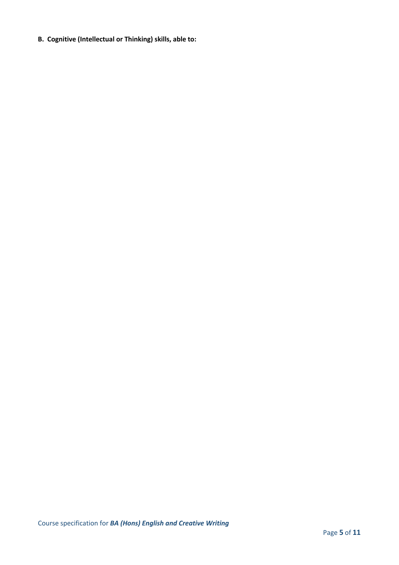**B. Cognitive (Intellectual or Thinking) skills, able to:**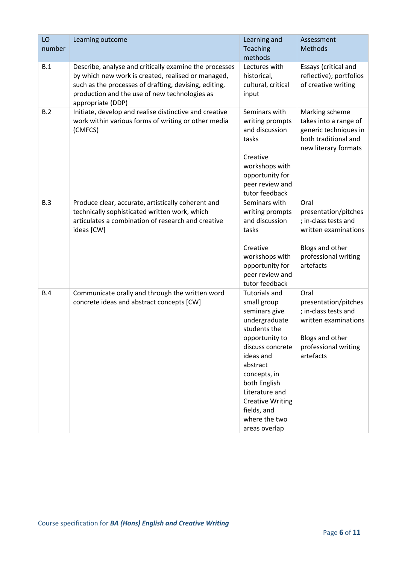| LO<br>number | Learning outcome                                                                                                                                                                                                                            | Learning and<br>Teaching<br>methods                                                                                                                                                                                                                                                | Assessment<br><b>Methods</b>                                                                                                         |
|--------------|---------------------------------------------------------------------------------------------------------------------------------------------------------------------------------------------------------------------------------------------|------------------------------------------------------------------------------------------------------------------------------------------------------------------------------------------------------------------------------------------------------------------------------------|--------------------------------------------------------------------------------------------------------------------------------------|
| B.1          | Describe, analyse and critically examine the processes<br>by which new work is created, realised or managed,<br>such as the processes of drafting, devising, editing,<br>production and the use of new technologies as<br>appropriate (DDP) | Lectures with<br>historical,<br>cultural, critical<br>input                                                                                                                                                                                                                        | Essays (critical and<br>reflective); portfolios<br>of creative writing                                                               |
| B.2          | Initiate, develop and realise distinctive and creative<br>work within various forms of writing or other media<br>(CMFCS)                                                                                                                    | Seminars with<br>writing prompts<br>and discussion<br>tasks<br>Creative<br>workshops with<br>opportunity for<br>peer review and<br>tutor feedback                                                                                                                                  | Marking scheme<br>takes into a range of<br>generic techniques in<br>both traditional and<br>new literary formats                     |
| B.3          | Produce clear, accurate, artistically coherent and<br>technically sophisticated written work, which<br>articulates a combination of research and creative<br>ideas [CW]                                                                     | Seminars with<br>writing prompts<br>and discussion<br>tasks<br>Creative<br>workshops with<br>opportunity for<br>peer review and<br>tutor feedback                                                                                                                                  | Oral<br>presentation/pitches<br>; in-class tests and<br>written examinations<br>Blogs and other<br>professional writing<br>artefacts |
| B.4          | Communicate orally and through the written word<br>concrete ideas and abstract concepts [CW]                                                                                                                                                | <b>Tutorials and</b><br>small group<br>seminars give<br>undergraduate<br>students the<br>opportunity to<br>discuss concrete<br>ideas and<br>abstract<br>concepts, in<br>both English<br>Literature and<br><b>Creative Writing</b><br>fields, and<br>where the two<br>areas overlap | Oral<br>presentation/pitches<br>; in-class tests and<br>written examinations<br>Blogs and other<br>professional writing<br>artefacts |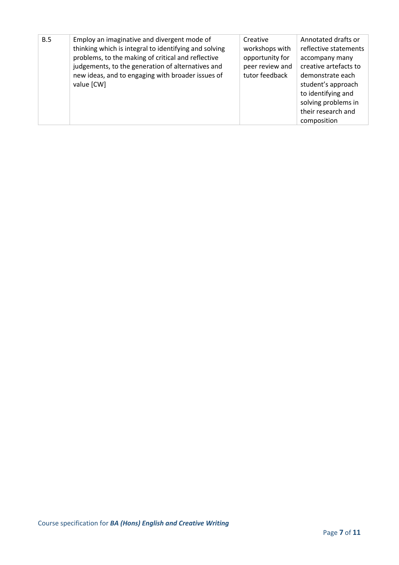| B.5 | Employ an imaginative and divergent mode of<br>thinking which is integral to identifying and solving<br>problems, to the making of critical and reflective<br>judgements, to the generation of alternatives and<br>new ideas, and to engaging with broader issues of<br>value [CW] | Creative<br>workshops with<br>opportunity for<br>peer review and<br>tutor feedback | Annotated drafts or<br>reflective statements<br>accompany many<br>creative artefacts to<br>demonstrate each<br>student's approach<br>to identifying and<br>solving problems in<br>their research and<br>composition |
|-----|------------------------------------------------------------------------------------------------------------------------------------------------------------------------------------------------------------------------------------------------------------------------------------|------------------------------------------------------------------------------------|---------------------------------------------------------------------------------------------------------------------------------------------------------------------------------------------------------------------|
|-----|------------------------------------------------------------------------------------------------------------------------------------------------------------------------------------------------------------------------------------------------------------------------------------|------------------------------------------------------------------------------------|---------------------------------------------------------------------------------------------------------------------------------------------------------------------------------------------------------------------|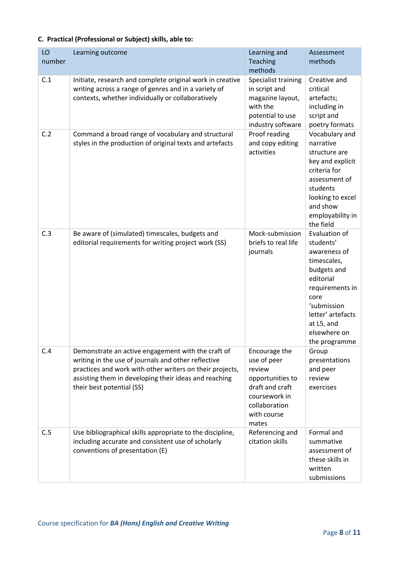| LO<br>number | Learning outcome                                                                                                                                                                                                                                            | Learning and<br>Teaching<br>methods                                                                                                     | Assessment<br>methods                                                                                                                                                                               |
|--------------|-------------------------------------------------------------------------------------------------------------------------------------------------------------------------------------------------------------------------------------------------------------|-----------------------------------------------------------------------------------------------------------------------------------------|-----------------------------------------------------------------------------------------------------------------------------------------------------------------------------------------------------|
| C.1          | Initiate, research and complete original work in creative<br>writing across a range of genres and in a variety of<br>contexts, whether individually or collaboratively                                                                                      | Specialist training<br>in script and<br>magazine layout,<br>with the<br>potential to use<br>industry software                           | Creative and<br>critical<br>artefacts;<br>including in<br>script and<br>poetry formats                                                                                                              |
| C.2          | Command a broad range of vocabulary and structural<br>styles in the production of original texts and artefacts                                                                                                                                              | Proof reading<br>and copy editing<br>activities                                                                                         | Vocabulary and<br>narrative<br>structure are<br>key and explicit<br>criteria for<br>assessment of<br>students<br>looking to excel<br>and show<br>employability in<br>the field                      |
| C.3          | Be aware of (simulated) timescales, budgets and<br>editorial requirements for writing project work (SS)                                                                                                                                                     | Mock-submission<br>briefs to real life<br>journals                                                                                      | Evaluation of<br>students'<br>awareness of<br>timescales,<br>budgets and<br>editorial<br>requirements in<br>core<br>'submission<br>letter' artefacts<br>at L5, and<br>elsewhere on<br>the programme |
| C.4          | Demonstrate an active engagement with the craft of<br>writing in the use of journals and other reflective<br>practices and work with other writers on their projects,<br>assisting them in developing their ideas and reaching<br>their best potential (SS) | Encourage the<br>use of peer<br>review<br>opportunities to<br>draft and craft<br>coursework in<br>collaboration<br>with course<br>mates | Group<br>presentations<br>and peer<br>review<br>exercises                                                                                                                                           |
| C.5          | Use bibliographical skills appropriate to the discipline,<br>including accurate and consistent use of scholarly<br>conventions of presentation (E)                                                                                                          | Referencing and<br>citation skills                                                                                                      | Formal and<br>summative<br>assessment of<br>these skills in<br>written<br>submissions                                                                                                               |

#### **C. Practical (Professional or Subject) skills, able to:**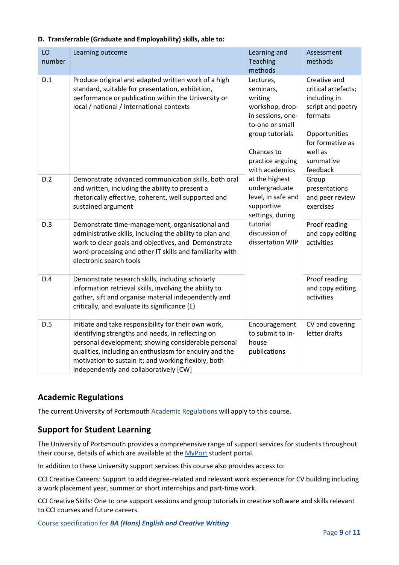| LO<br>number | Learning outcome                                                                                                                                                                                                                                                                                                             | Learning and<br><b>Teaching</b><br>methods                                                                                                                                                                                                                                                                      | Assessment<br>methods                                                                                                                                        |
|--------------|------------------------------------------------------------------------------------------------------------------------------------------------------------------------------------------------------------------------------------------------------------------------------------------------------------------------------|-----------------------------------------------------------------------------------------------------------------------------------------------------------------------------------------------------------------------------------------------------------------------------------------------------------------|--------------------------------------------------------------------------------------------------------------------------------------------------------------|
| D.1          | Produce original and adapted written work of a high<br>standard, suitable for presentation, exhibition,<br>performance or publication within the University or<br>local / national / international contexts                                                                                                                  | Lectures,<br>seminars,<br>writing<br>workshop, drop-<br>in sessions, one-<br>to-one or small<br>group tutorials<br>Chances to<br>practice arguing<br>with academics<br>at the highest<br>undergraduate<br>level, in safe and<br>supportive<br>settings, during<br>tutorial<br>discussion of<br>dissertation WIP | Creative and<br>critical artefacts;<br>including in<br>script and poetry<br>formats<br>Opportunities<br>for formative as<br>well as<br>summative<br>feedback |
| D.2          | Demonstrate advanced communication skills, both oral<br>and written, including the ability to present a<br>rhetorically effective, coherent, well supported and<br>sustained argument                                                                                                                                        |                                                                                                                                                                                                                                                                                                                 | Group<br>presentations<br>and peer review<br>exercises                                                                                                       |
| D.3          | Demonstrate time-management, organisational and<br>administrative skills, including the ability to plan and<br>work to clear goals and objectives, and Demonstrate<br>word-processing and other IT skills and familiarity with<br>electronic search tools                                                                    |                                                                                                                                                                                                                                                                                                                 | Proof reading<br>and copy editing<br>activities                                                                                                              |
| D.4          | Demonstrate research skills, including scholarly<br>information retrieval skills, involving the ability to<br>gather, sift and organise material independently and<br>critically, and evaluate its significance (E)                                                                                                          |                                                                                                                                                                                                                                                                                                                 | Proof reading<br>and copy editing<br>activities                                                                                                              |
| D.5          | Initiate and take responsibility for their own work,<br>identifying strengths and needs, in reflecting on<br>personal development; showing considerable personal<br>qualities, including an enthusiasm for enquiry and the<br>motivation to sustain it; and working flexibly, both<br>independently and collaboratively [CW] | Encouragement<br>to submit to in-<br>house<br>publications                                                                                                                                                                                                                                                      | CV and covering<br>letter drafts                                                                                                                             |

#### **D. Transferrable (Graduate and Employability) skills, able to:**

#### **Academic Regulations**

The current University of Portsmouth [Academic Regulations](https://staff.port.ac.uk/departments/services/academicregistry/qmd/assessmentandregulations/) will apply to this course.

#### **Support for Student Learning**

The University of Portsmouth provides a comprehensive range of support services for students throughout their course, details of which are available at the [MyPort](http://myport.ac.uk/) student portal.

In addition to these University support services this course also provides access to:

CCI Creative Careers: Support to add degree-related and relevant work experience for CV building including a work placement year, summer or short internships and part-time work.

CCI Creative Skills: One to one support sessions and group tutorials in creative software and skills relevant to CCI courses and future careers.

Course specification for *BA (Hons) English and Creative Writing*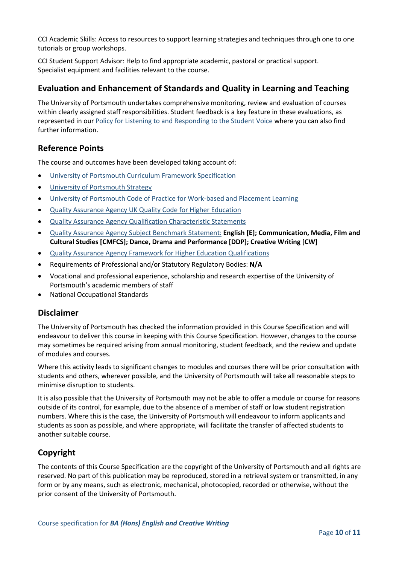CCI Academic Skills: Access to resources to support learning strategies and techniques through one to one tutorials or group workshops.

CCI Student Support Advisor: Help to find appropriate academic, pastoral or practical support. Specialist equipment and facilities relevant to the course.

### **Evaluation and Enhancement of Standards and Quality in Learning and Teaching**

The University of Portsmouth undertakes comprehensive monitoring, review and evaluation of courses within clearly assigned staff responsibilities. Student feedback is a key feature in these evaluations, as represented in our [Policy for Listening to and Responding to the Student Voice](http://policies.docstore.port.ac.uk/policy-069.pdf) where you can also find further information.

#### **Reference Points**

The course and outcomes have been developed taking account of:

- [University of Portsmouth Curriculum Framework Specification](http://policies.docstore.port.ac.uk/policy-217.pdf?_ga=2.262170252.1863271531.1625471462-353504235.1613498042)
- **•** [University of Portsmouth Strategy](https://www.port.ac.uk/about-us/our-ambition/our-strategy)
- [University of Portsmouth Code of Practice for Work-based and Placement Learning](http://policies.docstore.port.ac.uk/policy-151.pdf)
- [Quality Assurance Agency UK Quality Code for Higher Education](https://www.qaa.ac.uk/quality-code)
- [Quality Assurance Agency Qualification Characteristic Statements](https://www.qaa.ac.uk/quality-code/characteristics-statements)
- [Quality Assurance Agency Subject Benchmark Statement:](https://www.qaa.ac.uk/quality-code/subject-benchmark-statements) **English [E]; Communication, Media, Film and Cultural Studies [CMFCS]; Dance, Drama and Performance [DDP]; Creative Writing [CW]**
- [Quality Assurance Agency Framework for Higher Education Qualifications](https://www.qaa.ac.uk/quality-code/qualifications-frameworks)
- Requirements of Professional and/or Statutory Regulatory Bodies: **N/A**
- Vocational and professional experience, scholarship and research expertise of the University of Portsmouth's academic members of staff
- National Occupational Standards

#### **Disclaimer**

The University of Portsmouth has checked the information provided in this Course Specification and will endeavour to deliver this course in keeping with this Course Specification. However, changes to the course may sometimes be required arising from annual monitoring, student feedback, and the review and update of modules and courses.

Where this activity leads to significant changes to modules and courses there will be prior consultation with students and others, wherever possible, and the University of Portsmouth will take all reasonable steps to minimise disruption to students.

It is also possible that the University of Portsmouth may not be able to offer a module or course for reasons outside of its control, for example, due to the absence of a member of staff or low student registration numbers. Where this is the case, the University of Portsmouth will endeavour to inform applicants and students as soon as possible, and where appropriate, will facilitate the transfer of affected students to another suitable course.

#### **Copyright**

The contents of this Course Specification are the copyright of the University of Portsmouth and all rights are reserved. No part of this publication may be reproduced, stored in a retrieval system or transmitted, in any form or by any means, such as electronic, mechanical, photocopied, recorded or otherwise, without the prior consent of the University of Portsmouth.